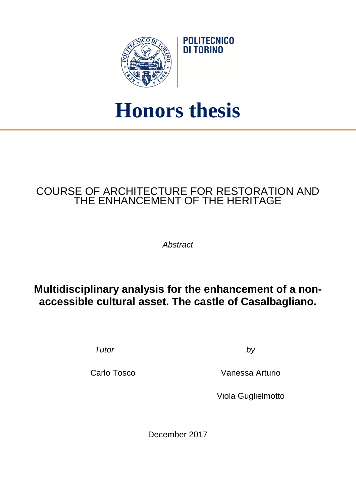

## **Honors thesis**

**POLITECNICO** DI TORINO

## COURSE OF ARCHITECTURE FOR RESTORATION AND THE ENHANCEMENT OF THE HERITAGE

*Abstract*

## **Multidisciplinary analysis for the enhancement of a nonaccessible cultural asset. The castle of Casalbagliano.**

*Tutor by*

Carlo Tosco Vanessa Arturio

Viola Guglielmotto

December 2017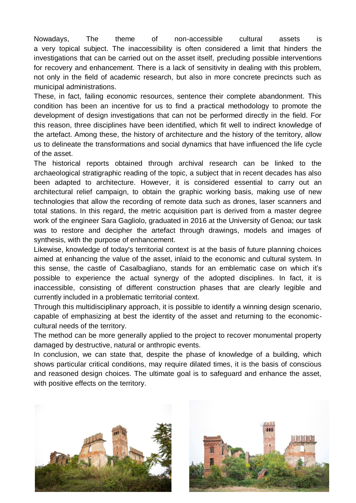Nowadays, The theme of non-accessible cultural assets is a very topical subject. The inaccessibility is often considered a limit that hinders the investigations that can be carried out on the asset itself, precluding possible interventions for recovery and enhancement. There is a lack of sensitivity in dealing with this problem, not only in the field of academic research, but also in more concrete precincts such as municipal administrations.

These, in fact, failing economic resources, sentence their complete abandonment. This condition has been an incentive for us to find a practical methodology to promote the development of design investigations that can not be performed directly in the field. For this reason, three disciplines have been identified, which fit well to indirect knowledge of the artefact. Among these, the history of architecture and the history of the territory, allow us to delineate the transformations and social dynamics that have influenced the life cycle of the asset.

The historical reports obtained through archival research can be linked to the archaeological stratigraphic reading of the topic, a subject that in recent decades has also been adapted to architecture. However, it is considered essential to carry out an architectural relief campaign, to obtain the graphic working basis, making use of new technologies that allow the recording of remote data such as drones, laser scanners and total stations. In this regard, the metric acquisition part is derived from a master degree work of the engineer Sara Gagliolo, graduated in 2016 at the University of Genoa; our task was to restore and decipher the artefact through drawings, models and images of synthesis, with the purpose of enhancement.

Likewise, knowledge of today's territorial context is at the basis of future planning choices aimed at enhancing the value of the asset, inlaid to the economic and cultural system. In this sense, the castle of Casalbagliano, stands for an emblematic case on which it's possible to experience the actual synergy of the adopted disciplines. In fact, it is inaccessible, consisting of different construction phases that are clearly legible and currently included in a problematic territorial context.

Through this multidisciplinary approach, it is possible to identify a winning design scenario, capable of emphasizing at best the identity of the asset and returning to the economiccultural needs of the territory.

The method can be more generally applied to the project to recover monumental property damaged by destructive, natural or anthropic events.

In conclusion, we can state that, despite the phase of knowledge of a building, which shows particular critical conditions, may require dilated times, it is the basis of conscious and reasoned design choices. The ultimate goal is to safeguard and enhance the asset, with positive effects on the territory.